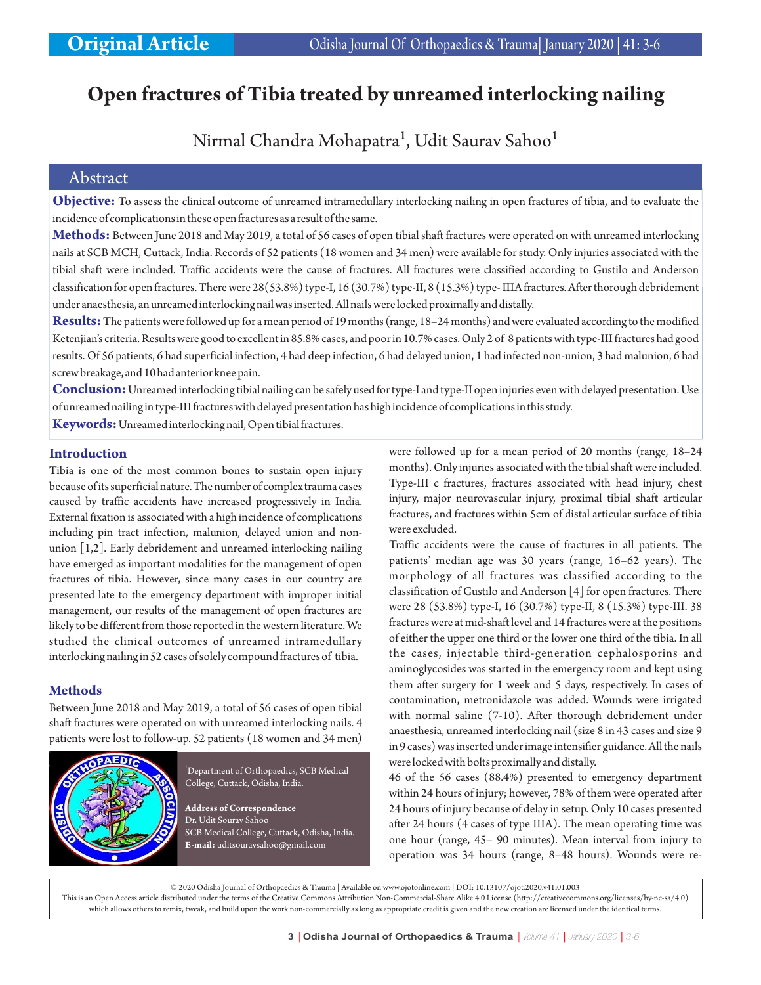# **Open fractures of Tibia treated by unreamed interlocking nailing**

## Nirmal Chandra Mohapatra<sup>1</sup>, Udit Saurav Sahoo<sup>1</sup>

## Abstract

**Objective:** To assess the clinical outcome of unreamed intramedullary interlocking nailing in open fractures of tibia, and to evaluate the incidence of complications in these open fractures as a result of the same.

**Methods:** Between June 2018 and May 2019, a total of 56 cases of open tibial shaft fractures were operated on with unreamed interlocking nails at SCB MCH, Cuttack, India. Records of 52 patients (18 women and 34 men) were available for study. Only injuries associated with the tibial shaft were included. Traffic accidents were the cause of fractures. All fractures were classified according to Gustilo and Anderson classification for open fractures. There were 28(53.8%) type-I, 16 (30.7%) type-II, 8 (15.3%) type- IIIA fractures. After thorough debridement under anaesthesia, an unreamed interlocking nail was inserted. All nails were locked proximally and distally.

**Results:**The patients were followed up for a mean period of 19 months (range, 18–24 months) and were evaluated according to the modified Ketenjian's criteria. Results were good to excellent in 85.8% cases, and poor in 10.7% cases. Only 2 of 8 patients with type-III fractures had good results. Of 56 patients, 6 had superficial infection, 4 had deep infection, 6 had delayed union, 1 had infected non-union, 3 had malunion, 6 had screw breakage, and 10 had anterior knee pain.

**Conclusion:** Unreamed interlocking tibial nailing can be safely used for type-I and type-II open injuries even with delayed presentation. Use of unreamed nailing in type-III fractures with delayed presentation has high incidence of complications in this study.

**Keywords:**Unreamed interlocking nail, Open tibial fractures.

#### **Introduction**

Tibia is one of the most common bones to sustain open injury because of its superficial nature. The number of complex trauma cases caused by traffic accidents have increased progressively in India. External fixation is associated with a high incidence of complications including pin tract infection, malunion, delayed union and nonunion [1,2]. Early debridement and unreamed interlocking nailing have emerged as important modalities for the management of open fractures of tibia. However, since many cases in our country are presented late to the emergency department with improper initial management, our results of the management of open fractures are likely to be different from those reported in the western literature. We studied the clinical outcomes of unreamed intramedullary interlocking nailing in 52 cases of solely compound fractures of tibia.

#### **Methods**

Between June 2018 and May 2019, a total of 56 cases of open tibial shaft fractures were operated on with unreamed interlocking nails. 4 patients were lost to follow-up. 52 patients (18 women and 34 men)



<sup>1</sup>Department of Orthopaedics, SCB Medical College, Cuttack, Odisha, India.

**Address of Correspondence** Dr. Udit Sourav Sahoo SCB Medical College, Cuttack, Odisha, India. **E-mail:** uditsouravsahoo@gmail.com

were followed up for a mean period of 20 months (range, 18–24 months). Only injuries associated with the tibial shaft were included. Type-III c fractures, fractures associated with head injury, chest injury, major neurovascular injury, proximal tibial shaft articular fractures, and fractures within 5cm of distal articular surface of tibia were excluded.

Traffic accidents were the cause of fractures in all patients. The patients' median age was 30 years (range, 16–62 years). The morphology of all fractures was classified according to the classification of Gustilo and Anderson [4] for open fractures. There were 28 (53.8%) type-I, 16 (30.7%) type-II, 8 (15.3%) type-III. 38 fractures were at mid-shaft level and 14 fractures were at the positions of either the upper one third or the lower one third of the tibia. In all the cases, injectable third-generation cephalosporins and aminoglycosides was started in the emergency room and kept using them after surgery for 1 week and 5 days, respectively. In cases of contamination, metronidazole was added. Wounds were irrigated with normal saline (7-10). After thorough debridement under anaesthesia, unreamed interlocking nail (size 8 in 43 cases and size 9 in 9 cases) was inserted under image intensifier guidance. All the nails were locked with bolts proximally and distally.

46 of the 56 cases (88.4%) presented to emergency department within 24 hours of injury; however, 78% of them were operated after 24 hours of injury because of delay in setup. Only 10 cases presented after 24 hours (4 cases of type IIIA). The mean operating time was one hour (range, 45– 90 minutes). Mean interval from injury to operation was 34 hours (range, 8–48 hours). Wounds were re-

© 2020 Odisha Journal of Orthopaedics & Trauma | Available on www.ojotonline.com | DOI: 10.13107/ojot.2020.v41i01.003 This is an Open Access article distributed under the terms of the Creative Commons Attribution Non-Commercial-Share Alike 4.0 License (http://creativecommons.org/licenses/by-nc-sa/4.0) which allows others to remix, tweak, and build upon the work non-commercially as long as appropriate credit is given and the new creation are licensed under the identical terms.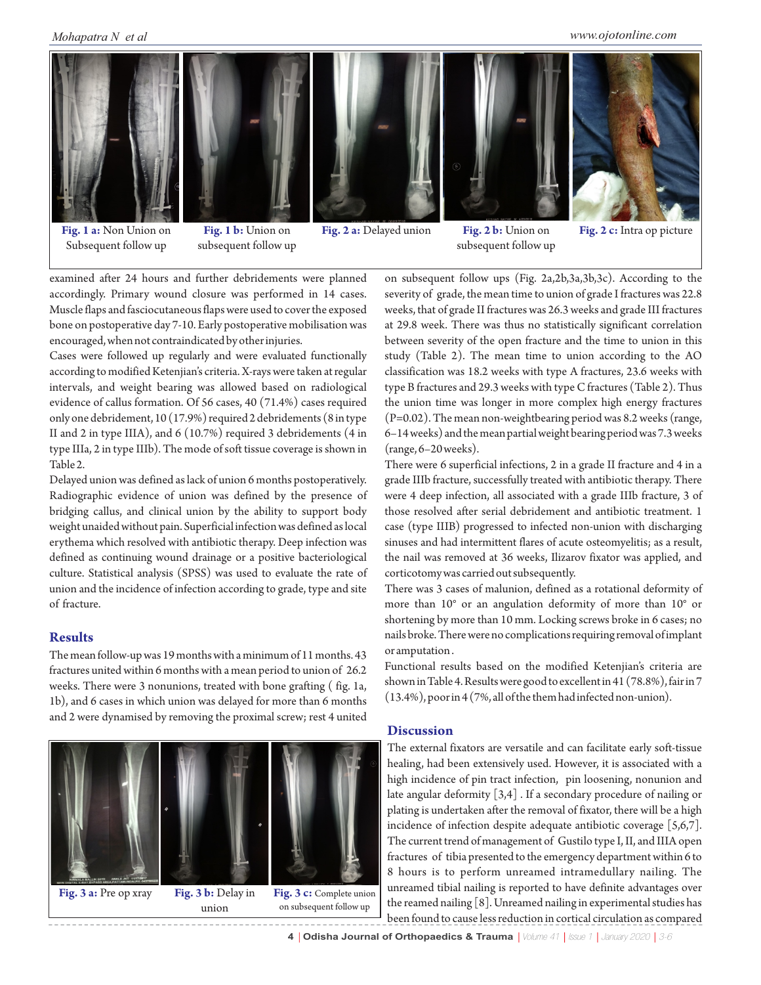

**Fig. 1 a:** Non Union on Subsequent follow up

**Fig. 1 b:** Union on subsequent follow up **Fig. 2 a:** Delayed union **Fig. 2 b:** Union on

subsequent follow up



**Fig. 2 c:** Intra op picture

examined after 24 hours and further debridements were planned accordingly. Primary wound closure was performed in 14 cases. Muscle flaps and fasciocutaneous flaps were used to cover the exposed bone on postoperative day 7-10. Early postoperative mobilisation was encouraged, when not contraindicated by other injuries.

Cases were followed up regularly and were evaluated functionally according to modified Ketenjian's criteria. X-rays were taken at regular intervals, and weight bearing was allowed based on radiological evidence of callus formation. Of 56 cases, 40 (71.4%) cases required only one debridement, 10 (17.9%) required 2 debridements (8 in type II and 2 in type IIIA), and 6 (10.7%) required 3 debridements (4 in type IIIa, 2 in type IIIb). The mode of soft tissue coverage is shown in Table 2.

Delayed union was defined as lack of union 6 months postoperatively. Radiographic evidence of union was defined by the presence of bridging callus, and clinical union by the ability to support body weight unaided without pain. Superficial infection was defined as local erythema which resolved with antibiotic therapy. Deep infection was defined as continuing wound drainage or a positive bacteriological culture. Statistical analysis (SPSS) was used to evaluate the rate of union and the incidence of infection according to grade, type and site of fracture.

#### **Results**

The mean follow-up was 19 months with a minimum of 11 months. 43 fractures united within 6 months with a mean period to union of 26.2 weeks. There were 3 nonunions, treated with bone grafting ( fig. 1a, 1b), and 6 cases in which union was delayed for more than 6 months and 2 were dynamised by removing the proximal screw; rest 4 united



on subsequent follow ups (Fig. 2a,2b,3a,3b,3c). According to the severity of grade, the mean time to union of grade I fractures was 22.8 weeks, that of grade II fractures was 26.3 weeks and grade III fractures at 29.8 week. There was thus no statistically significant correlation between severity of the open fracture and the time to union in this study (Table 2). The mean time to union according to the AO classification was 18.2 weeks with type A fractures, 23.6 weeks with type B fractures and 29.3 weeks with type C fractures (Table 2). Thus the union time was longer in more complex high energy fractures (P=0.02). The mean non-weightbearing period was 8.2 weeks (range, 6–14 weeks) and the mean partial weight bearing period was 7.3 weeks (range, 6–20 weeks).

There were 6 superficial infections, 2 in a grade II fracture and 4 in a grade IIIb fracture, successfully treated with antibiotic therapy. There were 4 deep infection, all associated with a grade IIIb fracture, 3 of those resolved after serial debridement and antibiotic treatment. 1 case (type IIIB) progressed to infected non-union with discharging sinuses and had intermittent flares of acute osteomyelitis; as a result, the nail was removed at 36 weeks, Ilizarov fixator was applied, and corticotomy was carried out subsequently.

There was 3 cases of malunion, defined as a rotational deformity of more than 10° or an angulation deformity of more than 10° or shortening by more than 10 mm. Locking screws broke in 6 cases; no nails broke. There were no complications requiring removal of implant or amputation .

Functional results based on the modified Ketenjian's criteria are shown in Table 4. Results were good to excellent in 41 (78.8%), fair in 7 (13.4%), poor in 4 (7%, all of the them had infected non-union).

#### **Discussion**

The external fixators are versatile and can facilitate early soft-tissue healing, had been extensively used. However, it is associated with a high incidence of pin tract infection, pin loosening, nonunion and late angular deformity [3,4] . If a secondary procedure of nailing or plating is undertaken after the removal of fixator, there will be a high incidence of infection despite adequate antibiotic coverage [5,6,7]. The current trend of management of Gustilo type I, II, and IIIA open fractures of tibia presented to the emergency department within 6 to 8 hours is to perform unreamed intramedullary nailing. The unreamed tibial nailing is reported to have definite advantages over the reamed nailing [8]. Unreamed nailing in experimental studies has been found to cause less reduction in cortical circulation as compared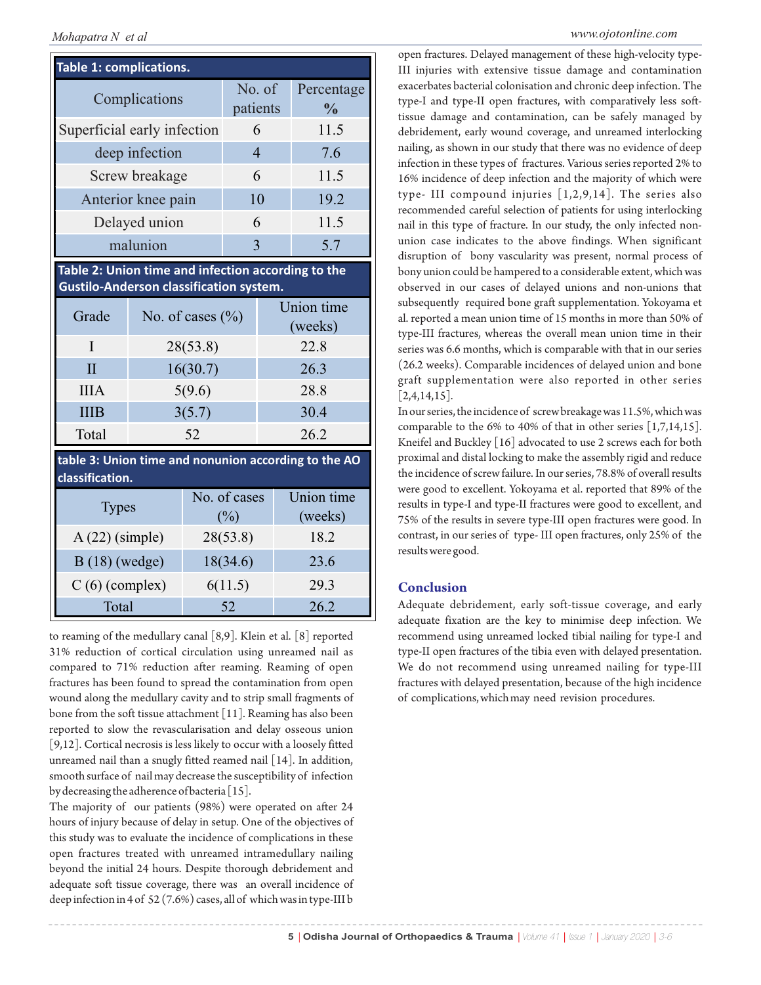## *Mohapatra N et al www.ojotonline.com*

| Table 1: complications.                                                                              |                      |         |                     |                       |                             |
|------------------------------------------------------------------------------------------------------|----------------------|---------|---------------------|-----------------------|-----------------------------|
| Complications                                                                                        |                      |         | No. of<br>patients  |                       | Percentage<br>$\frac{0}{0}$ |
| Superficial early infection                                                                          |                      |         | 6                   |                       | 11.5                        |
| deep infection                                                                                       |                      |         | $\overline{4}$      |                       | 7.6                         |
| Screw breakage                                                                                       |                      |         | 6                   |                       | 11.5                        |
| Anterior knee pain                                                                                   |                      |         | 10                  |                       | 19.2                        |
| Delayed union                                                                                        |                      |         | 6                   |                       | 11.5                        |
| malunion                                                                                             |                      |         | 3                   |                       | 5.7                         |
| Table 2: Union time and infection according to the<br><b>Gustilo-Anderson classification system.</b> |                      |         |                     |                       |                             |
| Grade                                                                                                | No. of cases $(\% )$ |         |                     | Union time<br>(weeks) |                             |
| T                                                                                                    | 28(53.8)             |         | 22.8                |                       |                             |
| $\overline{II}$                                                                                      | 16(30.7)             |         | 26.3                |                       |                             |
| <b>IIIA</b>                                                                                          | 5(9.6)               |         | 28.8                |                       |                             |
| <b>IIIB</b>                                                                                          | 3(5.7)               |         | 30.4                |                       |                             |
| Total                                                                                                |                      | 26.2    |                     |                       |                             |
| table 3: Union time and nonunion according to the AO<br>classification.                              |                      |         |                     |                       |                             |
| <b>Types</b>                                                                                         |                      |         | No. of cases<br>(%) |                       | Union time<br>(weeks)       |
| $A(22)$ (simple)                                                                                     |                      |         | 28(53.8)            |                       | 18.2                        |
| $B(18)$ (wedge)                                                                                      |                      |         | 18(34.6)            |                       | 23.6                        |
| $C(6)$ (complex)                                                                                     |                      | 6(11.5) |                     | 29.3                  |                             |
| Total                                                                                                |                      |         | 52                  |                       | 26.2                        |

to reaming of the medullary canal [8,9]. Klein et al. [8] reported 31% reduction of cortical circulation using unreamed nail as compared to 71% reduction after reaming. Reaming of open fractures has been found to spread the contamination from open wound along the medullary cavity and to strip small fragments of bone from the soft tissue attachment [11]. Reaming has also been reported to slow the revascularisation and delay osseous union [9,12]. Cortical necrosis is less likely to occur with a loosely fitted unreamed nail than a snugly fitted reamed nail [14]. In addition, smooth surface of nail may decrease the susceptibility of infection by decreasing the adherence of bacteria [15].

The majority of our patients (98%) were operated on after 24 hours of injury because of delay in setup. One of the objectives of this study was to evaluate the incidence of complications in these open fractures treated with unreamed intramedullary nailing beyond the initial 24 hours. Despite thorough debridement and adequate soft tissue coverage, there was an overall incidence of deep infection in 4 of 52 (7.6%) cases, all of which was in type-III b open fractures. Delayed management of these high-velocity type-III injuries with extensive tissue damage and contamination exacerbates bacterial colonisation and chronic deep infection. The type-I and type-II open fractures, with comparatively less softtissue damage and contamination, can be safely managed by debridement, early wound coverage, and unreamed interlocking nailing, as shown in our study that there was no evidence of deep infection in these types of fractures. Various series reported 2% to 16% incidence of deep infection and the majority of which were type- III compound injuries [1,2,9,14]. The series also recommended careful selection of patients for using interlocking nail in this type of fracture. In our study, the only infected nonunion case indicates to the above findings. When significant disruption of bony vascularity was present, normal process of bony union could be hampered to a considerable extent, which was observed in our cases of delayed unions and non-unions that subsequently required bone graft supplementation. Yokoyama et al. reported a mean union time of 15 months in more than 50% of type-III fractures, whereas the overall mean union time in their series was 6.6 months, which is comparable with that in our series (26.2 weeks). Comparable incidences of delayed union and bone graft supplementation were also reported in other series  $[2,4,14,15]$ .

In our series, the incidence of screw breakage was 11.5%, which was comparable to the 6% to 40% of that in other series  $\left[1,7,14,15\right]$ . Kneifel and Buckley [16] advocated to use 2 screws each for both proximal and distal locking to make the assembly rigid and reduce the incidence of screw failure. In our series, 78.8% of overall results were good to excellent. Yokoyama et al. reported that 89% of the results in type-I and type-II fractures were good to excellent, and 75% of the results in severe type-III open fractures were good. In contrast, in our series of type- III open fractures, only 25% of the results were good.

#### **Conclusion**

Adequate debridement, early soft-tissue coverage, and early adequate fixation are the key to minimise deep infection. We recommend using unreamed locked tibial nailing for type-I and type-II open fractures of the tibia even with delayed presentation. We do not recommend using unreamed nailing for type-III fractures with delayed presentation, because of the high incidence of complications, which may need revision procedures.